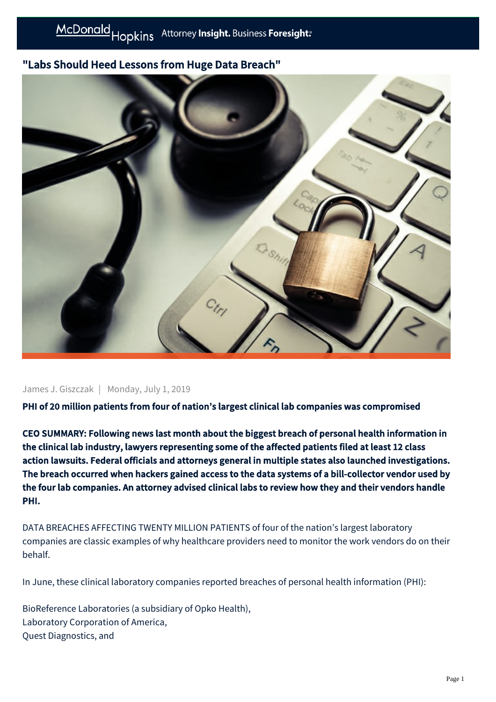## "Labs Should Heed Lessons from Huge Data Breach"



James J. Giszczak | Monday, July 1, 2019

PHI of 20 million patients from four of nation's largest clinical lab companies was compromised

CEO SUMMARY: Following news last month about the biggest breach of personal health information in the clinical lab industry, lawyers representing some of the affected patients filed at least 12 class action lawsuits. Federal officials and attorneys general in multiple states also launched investigations. The breach occurred when hackers gained access to the data systems of a bill-collector vendor used by the four lab companies. An attorney advised clinical labs to review how they and their vendors handle PHI.

DATA BREACHES AFFECTING TWENTY MILLION PATIENTS of four of the nation's largest laboratory companies are classic examples of why healthcare providers need to monitor the work vendors do on their behalf.

In June, these clinical laboratory companies reported breaches of personal health information (PHI):

BioReference Laboratories (a subsidiary of Opko Health), Laboratory Corporation of America, Quest Diagnostics, and